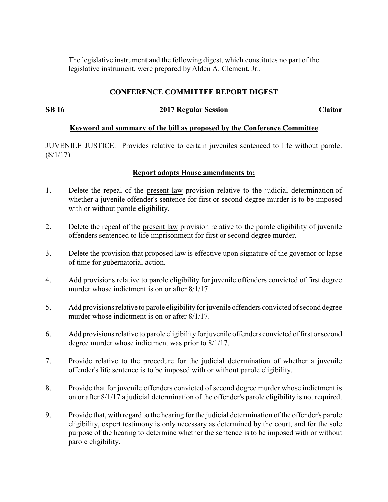The legislative instrument and the following digest, which constitutes no part of the legislative instrument, were prepared by Alden A. Clement, Jr..

### **CONFERENCE COMMITTEE REPORT DIGEST**

#### **SB 16 2017 Regular Session Claitor**

#### **Keyword and summary of the bill as proposed by the Conference Committee**

JUVENILE JUSTICE. Provides relative to certain juveniles sentenced to life without parole. (8/1/17)

## **Report adopts House amendments to:**

- 1. Delete the repeal of the present law provision relative to the judicial determination of whether a juvenile offender's sentence for first or second degree murder is to be imposed with or without parole eligibility.
- 2. Delete the repeal of the present law provision relative to the parole eligibility of juvenile offenders sentenced to life imprisonment for first or second degree murder.
- 3. Delete the provision that proposed law is effective upon signature of the governor or lapse of time for gubernatorial action.
- 4. Add provisions relative to parole eligibility for juvenile offenders convicted of first degree murder whose indictment is on or after 8/1/17.
- 5. Add provisions relative to parole eligibility for juvenile offenders convicted of second degree murder whose indictment is on or after 8/1/17.
- 6. Add provisions relative to parole eligibility for juvenile offenders convicted offirst or second degree murder whose indictment was prior to 8/1/17.
- 7. Provide relative to the procedure for the judicial determination of whether a juvenile offender's life sentence is to be imposed with or without parole eligibility.
- 8. Provide that for juvenile offenders convicted of second degree murder whose indictment is on or after 8/1/17 a judicial determination of the offender's parole eligibility is not required.
- 9. Provide that, with regard to the hearing for the judicial determination of the offender's parole eligibility, expert testimony is only necessary as determined by the court, and for the sole purpose of the hearing to determine whether the sentence is to be imposed with or without parole eligibility.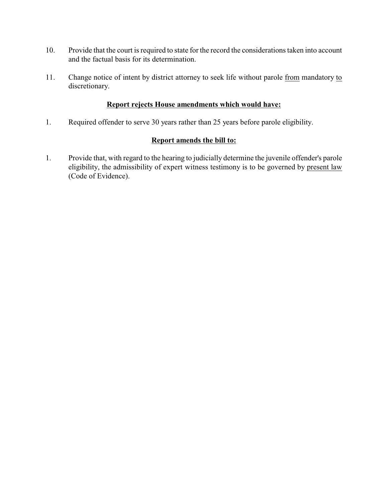- 10. Provide that the court is required to state for the record the considerations taken into account and the factual basis for its determination.
- 11. Change notice of intent by district attorney to seek life without parole from mandatory to discretionary.

## **Report rejects House amendments which would have:**

1. Required offender to serve 30 years rather than 25 years before parole eligibility.

#### **Report amends the bill to:**

1. Provide that, with regard to the hearing to judicially determine the juvenile offender's parole eligibility, the admissibility of expert witness testimony is to be governed by present law (Code of Evidence).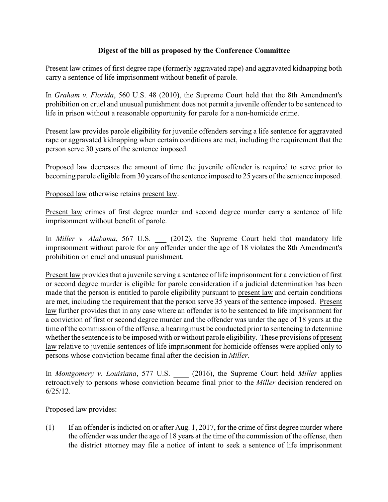# **Digest of the bill as proposed by the Conference Committee**

Present law crimes of first degree rape (formerly aggravated rape) and aggravated kidnapping both carry a sentence of life imprisonment without benefit of parole.

In *Graham v. Florida*, 560 U.S. 48 (2010), the Supreme Court held that the 8th Amendment's prohibition on cruel and unusual punishment does not permit a juvenile offender to be sentenced to life in prison without a reasonable opportunity for parole for a non-homicide crime.

Present law provides parole eligibility for juvenile offenders serving a life sentence for aggravated rape or aggravated kidnapping when certain conditions are met, including the requirement that the person serve 30 years of the sentence imposed.

Proposed law decreases the amount of time the juvenile offender is required to serve prior to becoming parole eligible from 30 years of the sentence imposed to 25 years of the sentence imposed.

Proposed law otherwise retains present law.

Present law crimes of first degree murder and second degree murder carry a sentence of life imprisonment without benefit of parole.

In *Miller v. Alabama*, 567 U.S. (2012), the Supreme Court held that mandatory life imprisonment without parole for any offender under the age of 18 violates the 8th Amendment's prohibition on cruel and unusual punishment.

Present law provides that a juvenile serving a sentence of life imprisonment for a conviction of first or second degree murder is eligible for parole consideration if a judicial determination has been made that the person is entitled to parole eligibility pursuant to present law and certain conditions are met, including the requirement that the person serve 35 years of the sentence imposed. Present law further provides that in any case where an offender is to be sentenced to life imprisonment for a conviction of first or second degree murder and the offender was under the age of 18 years at the time of the commission of the offense, a hearing must be conducted prior to sentencing to determine whether the sentence is to be imposed with or without parole eligibility. These provisions of present law relative to juvenile sentences of life imprisonment for homicide offenses were applied only to persons whose conviction became final after the decision in *Miller*.

In *Montgomery v. Louisiana*, 577 U.S. \_\_\_\_ (2016), the Supreme Court held *Miller* applies retroactively to persons whose conviction became final prior to the *Miller* decision rendered on 6/25/12.

## Proposed law provides:

(1) If an offender is indicted on or after Aug. 1, 2017, for the crime of first degree murder where the offender was under the age of 18 years at the time of the commission of the offense, then the district attorney may file a notice of intent to seek a sentence of life imprisonment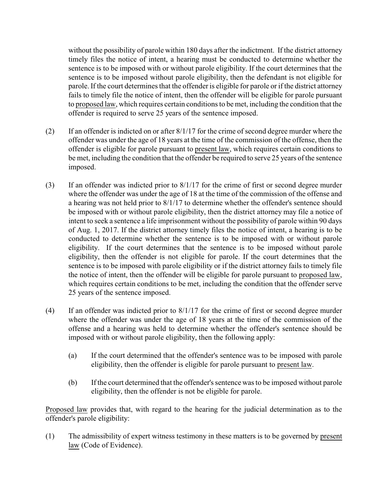without the possibility of parole within 180 days after the indictment. If the district attorney timely files the notice of intent, a hearing must be conducted to determine whether the sentence is to be imposed with or without parole eligibility. If the court determines that the sentence is to be imposed without parole eligibility, then the defendant is not eligible for parole. If the court determines that the offender is eligible for parole or if the district attorney fails to timely file the notice of intent, then the offender will be eligible for parole pursuant to proposed law, which requires certain conditions to be met, including the condition that the offender is required to serve 25 years of the sentence imposed.

- (2) If an offender is indicted on or after 8/1/17 for the crime of second degree murder where the offender was under the age of 18 years at the time of the commission of the offense, then the offender is eligible for parole pursuant to present law, which requires certain conditions to be met, including the condition that the offender be required to serve 25 years of the sentence imposed.
- (3) If an offender was indicted prior to 8/1/17 for the crime of first or second degree murder where the offender was under the age of 18 at the time of the commission of the offense and a hearing was not held prior to 8/1/17 to determine whether the offender's sentence should be imposed with or without parole eligibility, then the district attorney may file a notice of intent to seek a sentence a life imprisonment without the possibility of parole within 90 days of Aug. 1, 2017. If the district attorney timely files the notice of intent, a hearing is to be conducted to determine whether the sentence is to be imposed with or without parole eligibility. If the court determines that the sentence is to be imposed without parole eligibility, then the offender is not eligible for parole. If the court determines that the sentence is to be imposed with parole eligibility or if the district attorney fails to timely file the notice of intent, then the offender will be eligible for parole pursuant to proposed law, which requires certain conditions to be met, including the condition that the offender serve 25 years of the sentence imposed.
- (4) If an offender was indicted prior to 8/1/17 for the crime of first or second degree murder where the offender was under the age of 18 years at the time of the commission of the offense and a hearing was held to determine whether the offender's sentence should be imposed with or without parole eligibility, then the following apply:
	- (a) If the court determined that the offender's sentence was to be imposed with parole eligibility, then the offender is eligible for parole pursuant to present law.
	- (b) If the court determined that the offender's sentence was to be imposed without parole eligibility, then the offender is not be eligible for parole.

Proposed law provides that, with regard to the hearing for the judicial determination as to the offender's parole eligibility:

(1) The admissibility of expert witness testimony in these matters is to be governed by present law (Code of Evidence).